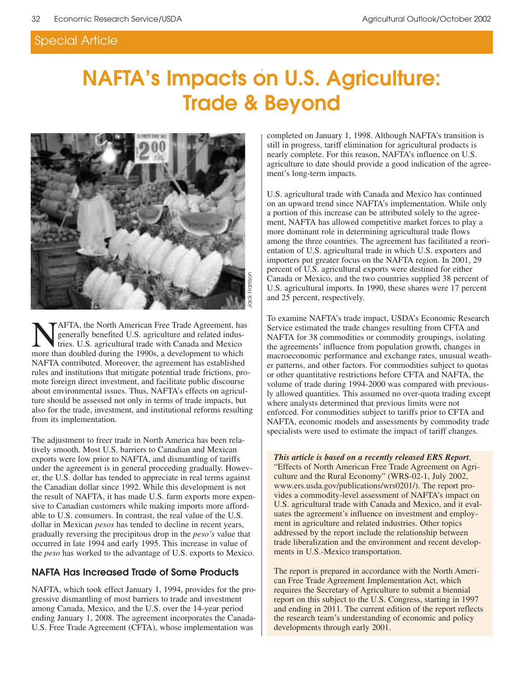# **NAFTA's Impacts on U.S. Agriculture: Trade & Beyond**



NAFTA, the North American Free Trade Agreement, has generally benefited U.S. agriculture and related industries. U.S. agricultural trade with Canada and Mexico more than doubled during the 1990s, a development to which NAFTA contributed. Moreover, the agreement has established rules and institutions that mitigate potential trade frictions, promote foreign direct investment, and facilitate public discourse about environmental issues. Thus, NAFTA's effects on agriculture should be assessed not only in terms of trade impacts, but also for the trade, investment, and institutional reforms resulting from its implementation.

The adjustment to freer trade in North America has been relatively smooth. Most U.S. barriers to Canadian and Mexican exports were low prior to NAFTA, and dismantling of tariffs under the agreement is in general proceeding gradually. However, the U.S. dollar has tended to appreciate in real terms against the Canadian dollar since 1992. While this development is not the result of NAFTA, it has made U.S. farm exports more expensive to Canadian customers while making imports more affordable to U.S. consumers. In contrast, the real value of the U.S. dollar in Mexican *pesos* has tended to decline in recent years, gradually reversing the precipitous drop in the *peso's* value that occurred in late 1994 and early 1995. This increase in value of the *peso* has worked to the advantage of U.S. exports to Mexico.

### **NAFTA Has Increased Trade of Some Products**

NAFTA, which took effect January 1, 1994, provides for the progressive dismantling of most barriers to trade and investment among Canada, Mexico, and the U.S. over the 14-year period ending January 1, 2008. The agreement incorporates the Canada-U.S. Free Trade Agreement (CFTA), whose implementation was

completed on January 1, 1998. Although NAFTA's transition is still in progress, tariff elimination for agricultural products is nearly complete. For this reason, NAFTA's influence on U.S. agriculture to date should provide a good indication of the agreement's long-term impacts.

U.S. agricultural trade with Canada and Mexico has continued on an upward trend since NAFTA's implementation. While only a portion of this increase can be attributed solely to the agreement, NAFTA has allowed competitive market forces to play a more dominant role in determining agricultural trade flows among the three countries. The agreement has facilitated a reorientation of U.S. agricultural trade in which U.S. exporters and importers put greater focus on the NAFTA region. In 2001, 29 percent of U.S. agricultural exports were destined for either Canada or Mexico, and the two countries supplied 38 percent of U.S. agricultural imports. In 1990, these shares were 17 percent and 25 percent, respectively.

To examine NAFTA's trade impact, USDA's Economic Research Service estimated the trade changes resulting from CFTA and NAFTA for 38 commodities or commodity groupings, isolating the agreements' influence from population growth, changes in macroeconomic performance and exchange rates, unusual weather patterns, and other factors. For commodities subject to quotas or other quantitative restrictions before CFTA and NAFTA, the volume of trade during 1994-2000 was compared with previously allowed quantities. This assumed no over-quota trading except where analysts determined that previous limits were not enforced. For commodities subject to tariffs prior to CFTA and NAFTA, economic models and assessments by commodity trade specialists were used to estimate the impact of tariff changes.

*This article is based on a recently released ERS Report*, "Effects of North American Free Trade Agreement on Agriculture and the Rural Economy" (WRS-02-1, July 2002, www.ers.usda.gov/publications/wrs0201/). The report provides a commodity-level assessment of NAFTA's impact on U.S. agricultural trade with Canada and Mexico, and it evaluates the agreement's influence on investment and employment in agriculture and related industries. Other topics addressed by the report include the relationship between trade liberalization and the environment and recent developments in U.S.-Mexico transportation.

The report is prepared in accordance with the North American Free Trade Agreement Implementation Act, which requires the Secretary of Agriculture to submit a biennial report on this subject to the U.S. Congress, starting in 1997 and ending in 2011. The current edition of the report reflects the research team's understanding of economic and policy developments through early 2001.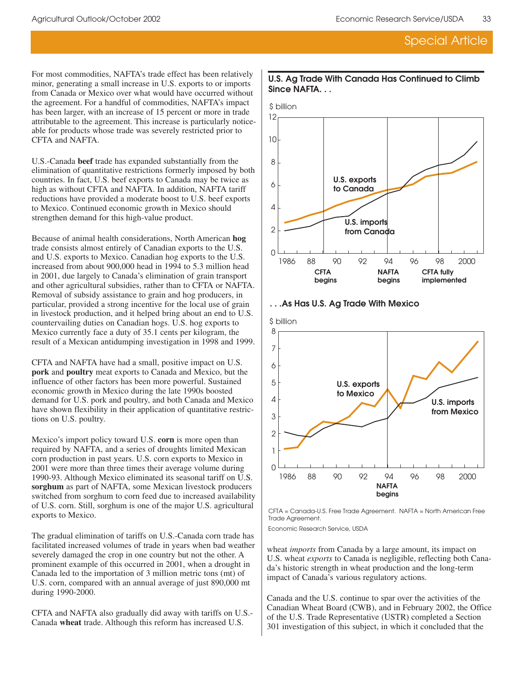For most commodities, NAFTA's trade effect has been relatively minor, generating a small increase in U.S. exports to or imports from Canada or Mexico over what would have occurred without the agreement. For a handful of commodities, NAFTA's impact has been larger, with an increase of 15 percent or more in trade attributable to the agreement. This increase is particularly noticeable for products whose trade was severely restricted prior to CFTA and NAFTA.

U.S.-Canada **beef** trade has expanded substantially from the elimination of quantitative restrictions formerly imposed by both countries. In fact, U.S. beef exports to Canada may be twice as high as without CFTA and NAFTA. In addition, NAFTA tariff reductions have provided a moderate boost to U.S. beef exports to Mexico. Continued economic growth in Mexico should strengthen demand for this high-value product.

Because of animal health considerations, North American **hog** trade consists almost entirely of Canadian exports to the U.S. and U.S. exports to Mexico. Canadian hog exports to the U.S. increased from about 900,000 head in 1994 to 5.3 million head in 2001, due largely to Canada's elimination of grain transport and other agricultural subsidies, rather than to CFTA or NAFTA. Removal of subsidy assistance to grain and hog producers, in particular, provided a strong incentive for the local use of grain in livestock production, and it helped bring about an end to U.S. countervailing duties on Canadian hogs. U.S. hog exports to Mexico currently face a duty of 35.1 cents per kilogram, the result of a Mexican antidumping investigation in 1998 and 1999.

CFTA and NAFTA have had a small, positive impact on U.S. **pork** and **poultry** meat exports to Canada and Mexico, but the influence of other factors has been more powerful. Sustained economic growth in Mexico during the late 1990s boosted demand for U.S. pork and poultry, and both Canada and Mexico have shown flexibility in their application of quantitative restrictions on U.S. poultry.

Mexico's import policy toward U.S. **corn** is more open than required by NAFTA, and a series of droughts limited Mexican corn production in past years. U.S. corn exports to Mexico in 2001 were more than three times their average volume during 1990-93. Although Mexico eliminated its seasonal tariff on U.S. **sorghum** as part of NAFTA, some Mexican livestock producers switched from sorghum to corn feed due to increased availability of U.S. corn. Still, sorghum is one of the major U.S. agricultural exports to Mexico.

The gradual elimination of tariffs on U.S.-Canada corn trade has facilitated increased volumes of trade in years when bad weather severely damaged the crop in one country but not the other. A prominent example of this occurred in 2001, when a drought in Canada led to the importation of 3 million metric tons (mt) of U.S. corn, compared with an annual average of just 890,000 mt during 1990-2000.

CFTA and NAFTA also gradually did away with tariffs on U.S.- Canada **wheat** trade. Although this reform has increased U.S.



**. . .As Has U.S. Ag Trade With Mexico**



CFTA = Canada-U.S. Free Trade Agreement. NAFTA = North American Free Trade Agreement.

Economic Research Service, USDA

wheat *imports* from Canada by a large amount, its impact on U.S. wheat *exports* to Canada is negligible, reflecting both Canada's historic strength in wheat production and the long-term impact of Canada's various regulatory actions.

Canada and the U.S. continue to spar over the activities of the Canadian Wheat Board (CWB), and in February 2002, the Office of the U.S. Trade Representative (USTR) completed a Section 301 investigation of this subject, in which it concluded that the

#### **U.S. Ag Trade With Canada Has Continued to Climb Since NAFTA. . .**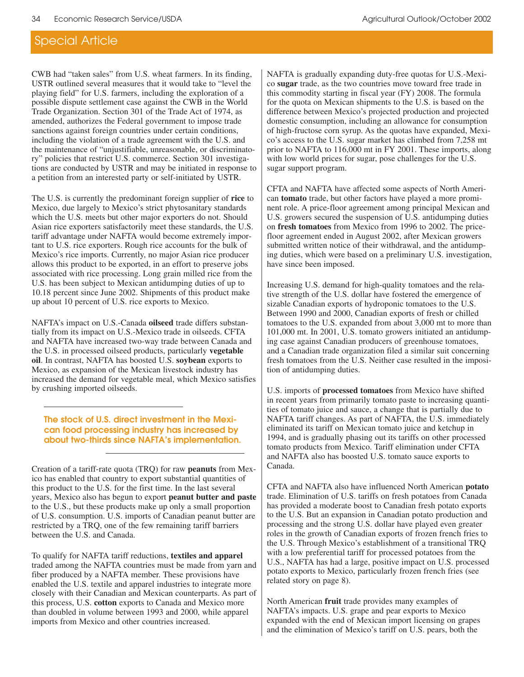CWB had "taken sales" from U.S. wheat farmers. In its finding, USTR outlined several measures that it would take to "level the playing field" for U.S. farmers, including the exploration of a possible dispute settlement case against the CWB in the World Trade Organization. Section 301 of the Trade Act of 1974, as amended, authorizes the Federal government to impose trade sanctions against foreign countries under certain conditions, including the violation of a trade agreement with the U.S. and the maintenance of "unjustifiable, unreasonable, or discriminatory" policies that restrict U.S. commerce. Section 301 investigations are conducted by USTR and may be initiated in response to a petition from an interested party or self-initiated by USTR.

The U.S. is currently the predominant foreign supplier of **rice** to Mexico, due largely to Mexico's strict phytosanitary standards which the U.S. meets but other major exporters do not. Should Asian rice exporters satisfactorily meet these standards, the U.S. tariff advantage under NAFTA would become extremely important to U.S. rice exporters. Rough rice accounts for the bulk of Mexico's rice imports. Currently, no major Asian rice producer allows this product to be exported, in an effort to preserve jobs associated with rice processing. Long grain milled rice from the U.S. has been subject to Mexican antidumping duties of up to 10.18 percent since June 2002. Shipments of this product make up about 10 percent of U.S. rice exports to Mexico.

NAFTA's impact on U.S.-Canada **oilseed** trade differs substantially from its impact on U.S.-Mexico trade in oilseeds. CFTA and NAFTA have increased two-way trade between Canada and the U.S. in processed oilseed products, particularly **vegetable oil**. In contrast, NAFTA has boosted U.S. **soybean** exports to Mexico, as expansion of the Mexican livestock industry has increased the demand for vegetable meal, which Mexico satisfies by crushing imported oilseeds.

**The stock of U.S. direct investment in the Mexican food processing industry has increased by about two-thirds since NAFTA's implementation.**

Creation of a tariff-rate quota (TRQ) for raw **peanuts** from Mexico has enabled that country to export substantial quantities of this product to the U.S. for the first time. In the last several years, Mexico also has begun to export **peanut butter and paste** to the U.S., but these products make up only a small proportion of U.S. consumption. U.S. imports of Canadian peanut butter are restricted by a TRQ, one of the few remaining tariff barriers between the U.S. and Canada.

To qualify for NAFTA tariff reductions, **textiles and apparel** traded among the NAFTA countries must be made from yarn and fiber produced by a NAFTA member. These provisions have enabled the U.S. textile and apparel industries to integrate more closely with their Canadian and Mexican counterparts. As part of this process, U.S. **cotton** exports to Canada and Mexico more than doubled in volume between 1993 and 2000, while apparel imports from Mexico and other countries increased.

NAFTA is gradually expanding duty-free quotas for U.S.-Mexico **sugar** trade, as the two countries move toward free trade in this commodity starting in fiscal year (FY) 2008. The formula for the quota on Mexican shipments to the U.S. is based on the difference between Mexico's projected production and projected domestic consumption, including an allowance for consumption of high-fructose corn syrup. As the quotas have expanded, Mexico's access to the U.S. sugar market has climbed from 7,258 mt prior to NAFTA to 116,000 mt in FY 2001. These imports, along with low world prices for sugar, pose challenges for the U.S. sugar support program.

CFTA and NAFTA have affected some aspects of North American **tomato** trade, but other factors have played a more prominent role. A price-floor agreement among principal Mexican and U.S. growers secured the suspension of U.S. antidumping duties on **fresh tomatoes** from Mexico from 1996 to 2002. The pricefloor agreement ended in August 2002, after Mexican growers submitted written notice of their withdrawal, and the antidumping duties, which were based on a preliminary U.S. investigation, have since been imposed.

Increasing U.S. demand for high-quality tomatoes and the relative strength of the U.S. dollar have fostered the emergence of sizable Canadian exports of hydroponic tomatoes to the U.S. Between 1990 and 2000, Canadian exports of fresh or chilled tomatoes to the U.S. expanded from about 3,000 mt to more than 101,000 mt. In 2001, U.S. tomato growers initiated an antidumping case against Canadian producers of greenhouse tomatoes, and a Canadian trade organization filed a similar suit concerning fresh tomatoes from the U.S. Neither case resulted in the imposition of antidumping duties.

U.S. imports of **processed tomatoes** from Mexico have shifted in recent years from primarily tomato paste to increasing quantities of tomato juice and sauce, a change that is partially due to NAFTA tariff changes. As part of NAFTA, the U.S. immediately eliminated its tariff on Mexican tomato juice and ketchup in 1994, and is gradually phasing out its tariffs on other processed tomato products from Mexico. Tariff elimination under CFTA and NAFTA also has boosted U.S. tomato sauce exports to Canada.

CFTA and NAFTA also have influenced North American **potato** trade. Elimination of U.S. tariffs on fresh potatoes from Canada has provided a moderate boost to Canadian fresh potato exports to the U.S. But an expansion in Canadian potato production and processing and the strong U.S. dollar have played even greater roles in the growth of Canadian exports of frozen french fries to the U.S. Through Mexico's establishment of a transitional TRQ with a low preferential tariff for processed potatoes from the U.S., NAFTA has had a large, positive impact on U.S. processed potato exports to Mexico, particularly frozen french fries (see related story on page 8).

North American **fruit** trade provides many examples of NAFTA's impacts. U.S. grape and pear exports to Mexico expanded with the end of Mexican import licensing on grapes and the elimination of Mexico's tariff on U.S. pears, both the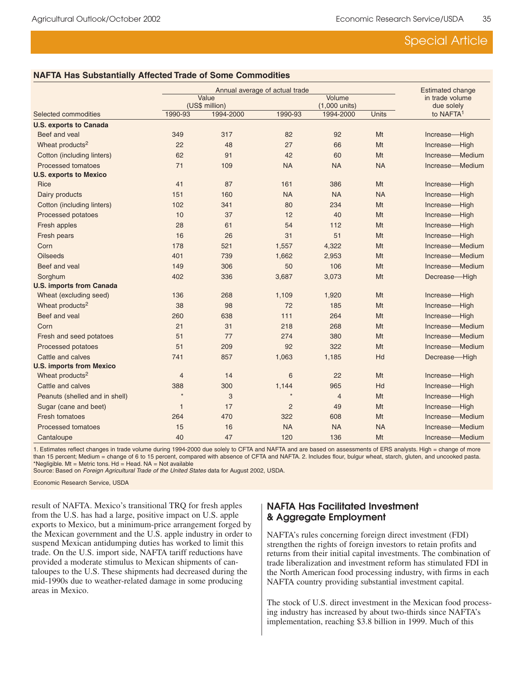### **NAFTA Has Substantially Affected Trade of Some Commodities**

|                                   | Annual average of actual trade |           |                |                                      |              | <b>Estimated change</b>             |
|-----------------------------------|--------------------------------|-----------|----------------|--------------------------------------|--------------|-------------------------------------|
|                                   | Value<br>(US\$ million)        |           | Volume         |                                      |              | in trade volume                     |
| Selected commodities              | 1990-93                        | 1994-2000 | 1990-93        | $(1,000 \text{ units})$<br>1994-2000 | <b>Units</b> | due solely<br>to NAFTA <sup>1</sup> |
| <b>U.S. exports to Canada</b>     |                                |           |                |                                      |              |                                     |
| Beef and yeal                     | 349                            | 317       | 82             | 92                                   | Mt           | Increase-High                       |
| Wheat products <sup>2</sup>       | 22                             | 48        | 27             | 66                                   | Mt           | Increase-High                       |
| <b>Cotton (including linters)</b> | 62                             | 91        | 42             | 60                                   | Mt           | Increase-Medium                     |
| Processed tomatoes                | 71                             | 109       | <b>NA</b>      | <b>NA</b>                            | <b>NA</b>    | Increase-Medium                     |
| <b>U.S. exports to Mexico</b>     |                                |           |                |                                      |              |                                     |
| Rice                              | 41                             | 87        | 161            | 386                                  | Mt           | Increase-High                       |
| Dairy products                    | 151                            | 160       | <b>NA</b>      | <b>NA</b>                            | <b>NA</b>    | Increase-High                       |
| Cotton (including linters)        | 102                            | 341       | 80             | 234                                  | Mt           | Increase-High                       |
| Processed potatoes                | 10                             | 37        | 12             | 40                                   | Mt           | Increase-High                       |
| Fresh apples                      | 28                             | 61        | 54             | 112                                  | Mt           | Increase-High                       |
| Fresh pears                       | 16                             | 26        | 31             | 51                                   | Mt           | Increase-High                       |
| Corn                              | 178                            | 521       | 1,557          | 4,322                                | Mt           | Increase-Medium                     |
| <b>Oilseeds</b>                   | 401                            | 739       | 1,662          | 2,953                                | Mt           | Increase-Medium                     |
| Beef and yeal                     | 149                            | 306       | 50             | 106                                  | Mt           | Increase-Medium                     |
| Sorghum                           | 402                            | 336       | 3,687          | 3,073                                | Mt           | Decrease-High                       |
| <b>U.S. imports from Canada</b>   |                                |           |                |                                      |              |                                     |
| Wheat (excluding seed)            | 136                            | 268       | 1,109          | 1,920                                | Mt           | Increase-High                       |
| Wheat products <sup>2</sup>       | 38                             | 98        | 72             | 185                                  | Mt           | Increase-High                       |
| Beef and yeal                     | 260                            | 638       | 111            | 264                                  | Mt           | Increase-High                       |
| Corn                              | 21                             | 31        | 218            | 268                                  | Mt           | Increase-Medium                     |
| Fresh and seed potatoes           | 51                             | 77        | 274            | 380                                  | Mt           | Increase-Medium                     |
| Processed potatoes                | 51                             | 209       | 92             | 322                                  | Mt           | Increase-Medium                     |
| Cattle and calves                 | 741                            | 857       | 1,063          | 1,185                                | Hd           | Decrease-High                       |
| <b>U.S. imports from Mexico</b>   |                                |           |                |                                      |              |                                     |
| Wheat products <sup>2</sup>       | $\overline{4}$                 | 14        | 6              | 22                                   | Mt           | Increase-High                       |
| Cattle and calves                 | 388                            | 300       | 1,144          | 965                                  | Hd           | Increase-High                       |
| Peanuts (shelled and in shell)    | $\star$                        | 3         | $\star$        | $\overline{4}$                       | Mt           | Increase-High                       |
| Sugar (cane and beet)             | $\mathbf{1}$                   | 17        | $\overline{2}$ | 49                                   | Mt           | Increase-High                       |
| <b>Fresh tomatoes</b>             | 264                            | 470       | 322            | 608                                  | Mt           | Increase-Medium                     |
| Processed tomatoes                | 15                             | 16        | <b>NA</b>      | <b>NA</b>                            | <b>NA</b>    | Increase-Medium                     |
| Cantaloupe                        | 40                             | 47        | 120            | 136                                  | Mt           | Increase-Medium                     |

1. Estimates reflect changes in trade volume during 1994-2000 due solely to CFTA and NAFTA and are based on assessments of ERS analysts. High = change of more than 15 percent; Medium = change of 6 to 15 percent, compared with absence of CFTA and NAFTA. 2. Includes flour, bulgur wheat, starch, gluten, and uncooked pasta. \*Negligible. Mt = Metric tons. Hd = Head. NA = Not available

Source: Based on Foreign Agricultural Trade of the United States data for August 2002, USDA.

Economic Research Service, USDA

result of NAFTA. Mexico's transitional TRQ for fresh apples from the U.S. has had a large, positive impact on U.S. apple exports to Mexico, but a minimum-price arrangement forged by the Mexican government and the U.S. apple industry in order to suspend Mexican antidumping duties has worked to limit this trade. On the U.S. import side, NAFTA tariff reductions have provided a moderate stimulus to Mexican shipments of cantaloupes to the U.S. These shipments had decreased during the mid-1990s due to weather-related damage in some producing areas in Mexico.

### **NAFTA Has Facilitated Investment & Aggregate Employment**

NAFTA's rules concerning foreign direct investment (FDI) strengthen the rights of foreign investors to retain profits and returns from their initial capital investments. The combination of trade liberalization and investment reform has stimulated FDI in the North American food processing industry, with firms in each NAFTA country providing substantial investment capital.

The stock of U.S. direct investment in the Mexican food processing industry has increased by about two-thirds since NAFTA's implementation, reaching \$3.8 billion in 1999. Much of this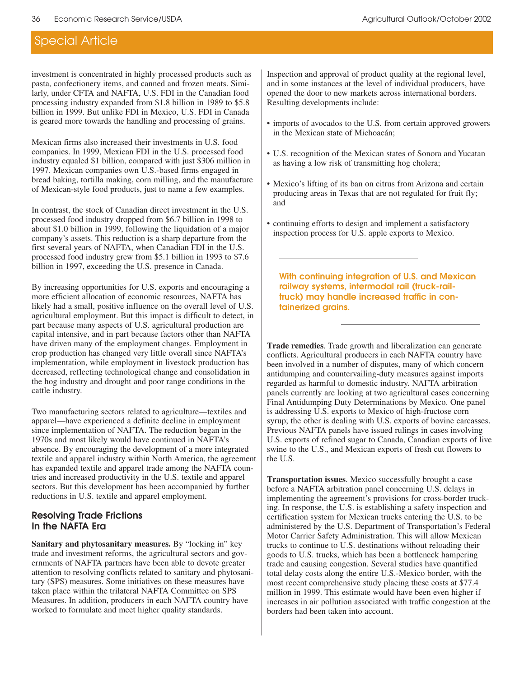investment is concentrated in highly processed products such as pasta, confectionery items, and canned and frozen meats. Similarly, under CFTA and NAFTA, U.S. FDI in the Canadian food processing industry expanded from \$1.8 billion in 1989 to \$5.8 billion in 1999. But unlike FDI in Mexico, U.S. FDI in Canada is geared more towards the handling and processing of grains.

Mexican firms also increased their investments in U.S. food companies. In 1999, Mexican FDI in the U.S. processed food industry equaled \$1 billion, compared with just \$306 million in 1997. Mexican companies own U.S.-based firms engaged in bread baking, tortilla making, corn milling, and the manufacture of Mexican-style food products, just to name a few examples.

In contrast, the stock of Canadian direct investment in the U.S. processed food industry dropped from \$6.7 billion in 1998 to about \$1.0 billion in 1999, following the liquidation of a major company's assets. This reduction is a sharp departure from the first several years of NAFTA, when Canadian FDI in the U.S. processed food industry grew from \$5.1 billion in 1993 to \$7.6 billion in 1997, exceeding the U.S. presence in Canada.

By increasing opportunities for U.S. exports and encouraging a more efficient allocation of economic resources, NAFTA has likely had a small, positive influence on the overall level of U.S. agricultural employment. But this impact is difficult to detect, in part because many aspects of U.S. agricultural production are capital intensive, and in part because factors other than NAFTA have driven many of the employment changes. Employment in crop production has changed very little overall since NAFTA's implementation, while employment in livestock production has decreased, reflecting technological change and consolidation in the hog industry and drought and poor range conditions in the cattle industry.

Two manufacturing sectors related to agriculture—textiles and apparel—have experienced a definite decline in employment since implementation of NAFTA. The reduction began in the 1970s and most likely would have continued in NAFTA's absence. By encouraging the development of a more integrated textile and apparel industry within North America, the agreement has expanded textile and apparel trade among the NAFTA countries and increased productivity in the U.S. textile and apparel sectors. But this development has been accompanied by further reductions in U.S. textile and apparel employment.

### **Resolving Trade Frictions In the NAFTA Era**

**Sanitary and phytosanitary measures.** By "locking in" key trade and investment reforms, the agricultural sectors and governments of NAFTA partners have been able to devote greater attention to resolving conflicts related to sanitary and phytosanitary (SPS) measures. Some initiatives on these measures have taken place within the trilateral NAFTA Committee on SPS Measures. In addition, producers in each NAFTA country have worked to formulate and meet higher quality standards.

Inspection and approval of product quality at the regional level, and in some instances at the level of individual producers, have opened the door to new markets across international borders. Resulting developments include:

- imports of avocados to the U.S. from certain approved growers in the Mexican state of Michoacán;
- U.S. recognition of the Mexican states of Sonora and Yucatan as having a low risk of transmitting hog cholera;
- Mexico's lifting of its ban on citrus from Arizona and certain producing areas in Texas that are not regulated for fruit fly; and
- continuing efforts to design and implement a satisfactory inspection process for U.S. apple exports to Mexico.

**With continuing integration of U.S. and Mexican railway systems, intermodal rail (truck-railtruck) may handle increased traffic in containerized grains.** 

**Trade remedies**. Trade growth and liberalization can generate conflicts. Agricultural producers in each NAFTA country have been involved in a number of disputes, many of which concern antidumping and countervailing-duty measures against imports regarded as harmful to domestic industry. NAFTA arbitration panels currently are looking at two agricultural cases concerning Final Antidumping Duty Determinations by Mexico. One panel is addressing U.S. exports to Mexico of high-fructose corn syrup; the other is dealing with U.S. exports of bovine carcasses. Previous NAFTA panels have issued rulings in cases involving U.S. exports of refined sugar to Canada, Canadian exports of live swine to the U.S., and Mexican exports of fresh cut flowers to the U.S.

**Transportation issues**. Mexico successfully brought a case before a NAFTA arbitration panel concerning U.S. delays in implementing the agreement's provisions for cross-border trucking. In response, the U.S. is establishing a safety inspection and certification system for Mexican trucks entering the U.S. to be administered by the U.S. Department of Transportation's Federal Motor Carrier Safety Administration. This will allow Mexican trucks to continue to U.S. destinations without reloading their goods to U.S. trucks, which has been a bottleneck hampering trade and causing congestion. Several studies have quantified total delay costs along the entire U.S.-Mexico border, with the most recent comprehensive study placing these costs at \$77.4 million in 1999. This estimate would have been even higher if increases in air pollution associated with traffic congestion at the borders had been taken into account.